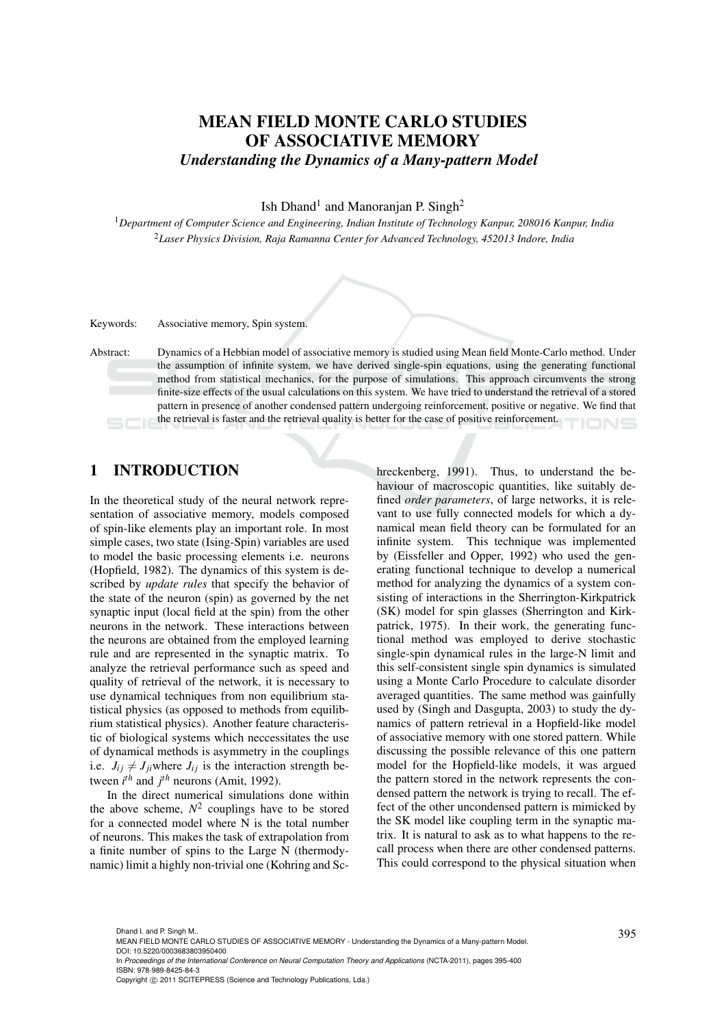# MEAN FIELD MONTE CARLO STUDIES OF ASSOCIATIVE MEMORY *Understanding the Dynamics of a Many-pattern Model*

Ish Dhand<sup>1</sup> and Manoranjan P. Singh<sup>2</sup>

<sup>1</sup>*Department of Computer Science and Engineering, Indian Institute of Technology Kanpur, 208016 Kanpur, India* <sup>2</sup>*Laser Physics Division, Raja Ramanna Center for Advanced Technology, 452013 Indore, India*

Keywords: Associative memory, Spin system.

Abstract: Dynamics of a Hebbian model of associative memory is studied using Mean field Monte-Carlo method. Under the assumption of infinite system, we have derived single-spin equations, using the generating functional method from statistical mechanics, for the purpose of simulations. This approach circumvents the strong finite-size effects of the usual calculations on this system. We have tried to understand the retrieval of a stored pattern in presence of another condensed pattern undergoing reinforcement, positive or negative. We find that the retrieval is faster and the retrieval quality is better for the case of positive reinforcement. **IONS** 

# 1 INTRODUCTION

In the theoretical study of the neural network representation of associative memory, models composed of spin-like elements play an important role. In most simple cases, two state (Ising-Spin) variables are used to model the basic processing elements i.e. neurons (Hopfield, 1982). The dynamics of this system is described by *update rules* that specify the behavior of the state of the neuron (spin) as governed by the net synaptic input (local field at the spin) from the other neurons in the network. These interactions between the neurons are obtained from the employed learning rule and are represented in the synaptic matrix. To analyze the retrieval performance such as speed and quality of retrieval of the network, it is necessary to use dynamical techniques from non equilibrium statistical physics (as opposed to methods from equilibrium statistical physics). Another feature characteristic of biological systems which neccessitates the use of dynamical methods is asymmetry in the couplings i.e.  $J_{ij} \neq J_{ji}$  where  $J_{ij}$  is the interaction strength between  $i^{th}$  and  $j^{th}$  neurons (Amit, 1992).

In the direct numerical simulations done within the above scheme,  $N^2$  couplings have to be stored for a connected model where  $N$  is the total number of neurons. This makes the task of extrapolation from a finite number of spins to the Large N (thermodynamic) limit a highly non-trivial one (Kohring and Sc-

hreckenberg, 1991). Thus, to understand the behaviour of macroscopic quantities, like suitably defined *order parameters*, of large networks, it is relevant to use fully connected models for which a dynamical mean field theory can be formulated for an infinite system. This technique was implemented by (Eissfeller and Opper, 1992) who used the generating functional technique to develop a numerical method for analyzing the dynamics of a system consisting of interactions in the Sherrington-Kirkpatrick (SK) model for spin glasses (Sherrington and Kirkpatrick, 1975). In their work, the generating functional method was employed to derive stochastic single-spin dynamical rules in the large-N limit and this self-consistent single spin dynamics is simulated using a Monte Carlo Procedure to calculate disorder averaged quantities. The same method was gainfully used by (Singh and Dasgupta, 2003) to study the dynamics of pattern retrieval in a Hopfield-like model of associative memory with one stored pattern. While discussing the possible relevance of this one pattern model for the Hopfield-like models, it was argued the pattern stored in the network represents the condensed pattern the network is trying to recall. The effect of the other uncondensed pattern is mimicked by the SK model like coupling term in the synaptic matrix. It is natural to ask as to what happens to the recall process when there are other condensed patterns. This could correspond to the physical situation when

<sup>395</sup> Dhand I. and P. Singh M.. MEAN FIELD MONTE CARLO STUDIES OF ASSOCIATIVE MEMORY - Understanding the Dynamics of a Many-pattern Model. DOI: 10.5220/0003683803950400

In *Proceedings of the International Conference on Neural Computation Theory and Applications* (NCTA-2011), pages 395-400 ISBN: 978-989-8425-84-3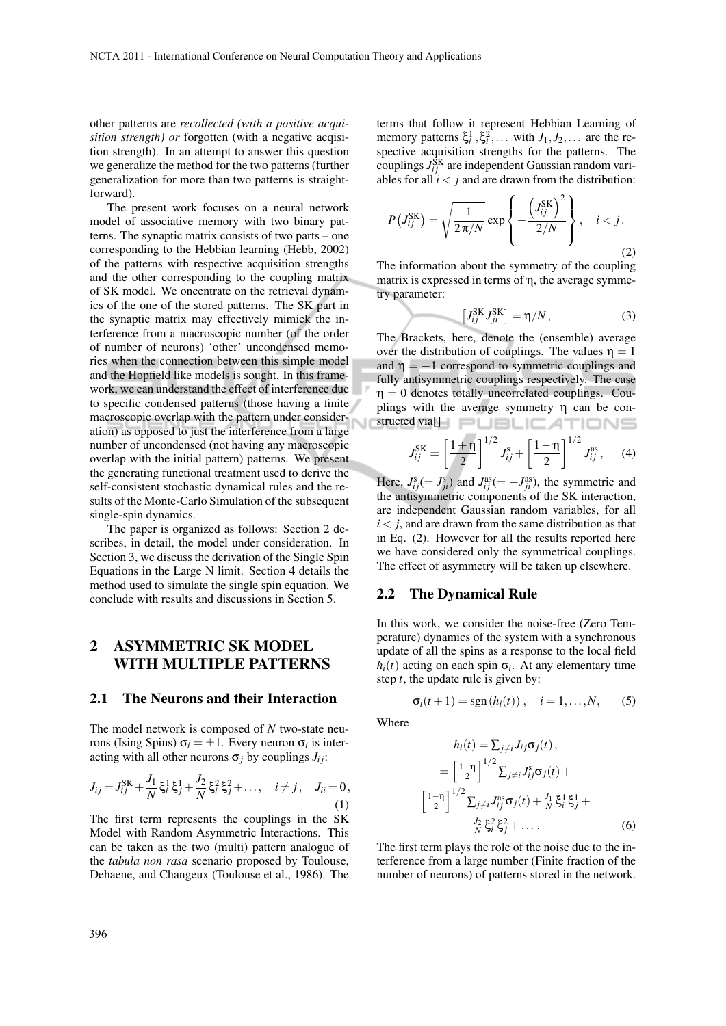other patterns are *recollected (with a positive acquisition strength) or* forgotten (with a negative acqisition strength). In an attempt to answer this question we generalize the method for the two patterns (further generalization for more than two patterns is straightforward).

The present work focuses on a neural network model of associative memory with two binary patterns. The synaptic matrix consists of two parts – one corresponding to the Hebbian learning (Hebb, 2002) of the patterns with respective acquisition strengths and the other corresponding to the coupling matrix of SK model. We oncentrate on the retrieval dynamics of the one of the stored patterns. The SK part in the synaptic matrix may effectively mimick the interference from a macroscopic number (of the order of number of neurons) 'other' uncondensed memories when the connection between this simple model and the Hopfield like models is sought. In this framework, we can understand the effect of interference due to specific condensed patterns (those having a finite macroscopic overlap with the pattern under consideration) as opposed to just the interference from a large number of uncondensed (not having any macroscopic overlap with the initial pattern) patterns. We present the generating functional treatment used to derive the self-consistent stochastic dynamical rules and the results of the Monte-Carlo Simulation of the subsequent single-spin dynamics.

The paper is organized as follows: Section 2 describes, in detail, the model under consideration. In Section 3, we discuss the derivation of the Single Spin Equations in the Large N limit. Section 4 details the method used to simulate the single spin equation. We conclude with results and discussions in Section 5.

# 2 ASYMMETRIC SK MODEL WITH MULTIPLE PATTERNS

#### 2.1 The Neurons and their Interaction

The model network is composed of *N* two-state neurons (Ising Spins)  $\sigma_i = \pm 1$ . Every neuron  $\sigma_i$  is interacting with all other neurons  $\sigma_i$  by couplings  $J_i$ ;

$$
J_{ij} = J_{ij}^{\text{SK}} + \frac{J_1}{N} \xi_i^1 \xi_j^1 + \frac{J_2}{N} \xi_i^2 \xi_j^2 + \dots, \quad i \neq j, \quad J_{ii} = 0,
$$
\n(1)

The first term represents the couplings in the SK Model with Random Asymmetric Interactions. This can be taken as the two (multi) pattern analogue of the *tabula non rasa* scenario proposed by Toulouse, Dehaene, and Changeux (Toulouse et al., 1986). The terms that follow it represent Hebbian Learning of memory patterns  $\xi_i^1$ ,  $\xi_i^2$ , ... with  $J_1, J_2, \ldots$  are the respective acquisition strengths for the patterns. The couplings  $J_{ij}^{\text{SK}}$  are independent Gaussian random variables for all  $i < j$  and are drawn from the distribution:

$$
P\left(J_{ij}^{\text{SK}}\right) = \sqrt{\frac{1}{2\pi/N}} \exp\left\{-\frac{\left(J_{ij}^{\text{SK}}\right)^2}{2/N}\right\}, \quad i < j. \tag{2}
$$

The information about the symmetry of the coupling matrix is expressed in terms of  $\eta$ , the average symmetry parameter:

$$
\left[J_{ij}^{\text{SK}}J_{ji}^{\text{SK}}\right] = \eta/N, \qquad (3)
$$

The Brackets, here, denote the (ensemble) average over the distribution of couplings. The values  $\eta = 1$ and  $\eta = -1$  correspond to symmetric couplings and fully antisymmetric couplings respectively. The case  $\eta = 0$  denotes totally uncorrelated couplings. Couplings with the average symmetry η can be constructed via[] PLELICATIONS

$$
J_{ij}^{\text{SK}} = \left[\frac{1+\eta}{2}\right]^{1/2} J_{ij}^{\text{s}} + \left[\frac{1-\eta}{2}\right]^{1/2} J_{ij}^{\text{as}}, \quad (4)
$$

Here,  $J_{ij}^{\rm s}(= J_{ji}^{\rm s})$  and  $J_{ij}^{\rm as} (= -J_{ji}^{\rm as})$ , the symmetric and the antisymmetric components of the SK interaction, are independent Gaussian random variables, for all  $i < j$ , and are drawn from the same distribution as that in Eq. (2). However for all the results reported here we have considered only the symmetrical couplings. The effect of asymmetry will be taken up elsewhere.

#### 2.2 The Dynamical Rule

In this work, we consider the noise-free (Zero Temperature) dynamics of the system with a synchronous update of all the spins as a response to the local field  $h_i(t)$  acting on each spin  $\sigma_i$ . At any elementary time step *t*, the update rule is given by:

$$
\sigma_i(t+1) = \text{sgn}(h_i(t)), \quad i = 1,\ldots,N,
$$
 (5)

Where

$$
h_i(t) = \sum_{j \neq i} J_{ij} \sigma_j(t),
$$
  
\n
$$
= \left[\frac{1+\eta}{2}\right]^{1/2} \sum_{j \neq i} J_{ij}^s \sigma_j(t) +
$$
  
\n
$$
\left[\frac{1-\eta}{2}\right]^{1/2} \sum_{j \neq i} J_{ij}^{as} \sigma_j(t) + \frac{J_1}{N} \xi_i^1 \xi_j^1 +
$$
  
\n
$$
\frac{J_2}{N} \xi_i^2 \xi_j^2 + \dots
$$
 (6)

The first term plays the role of the noise due to the interference from a large number (Finite fraction of the number of neurons) of patterns stored in the network.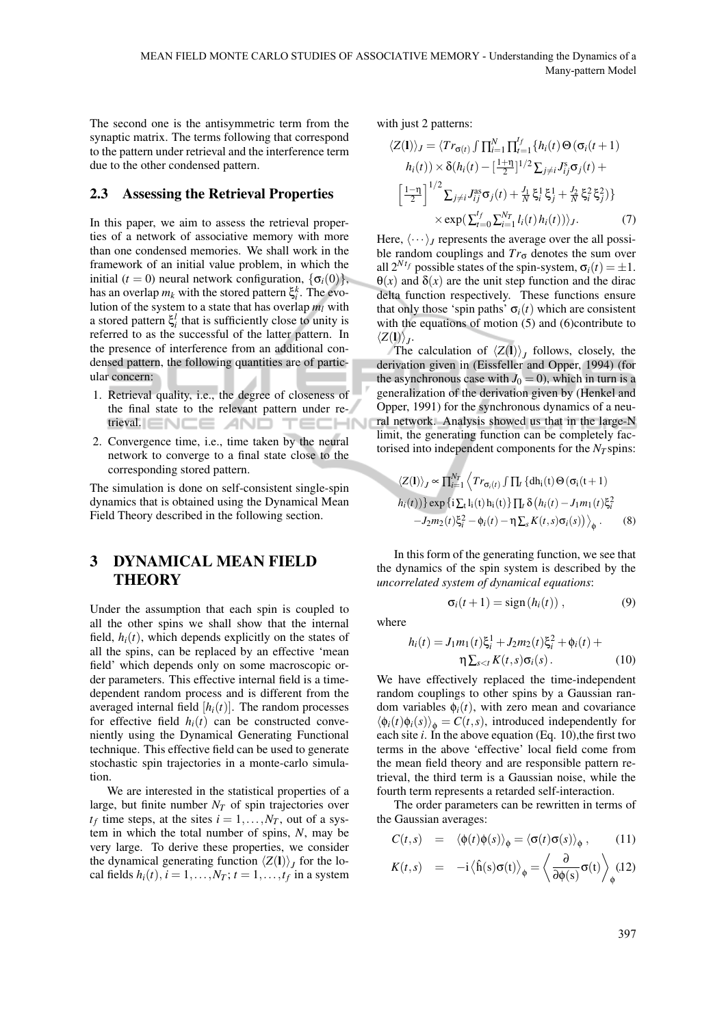The second one is the antisymmetric term from the synaptic matrix. The terms following that correspond to the pattern under retrieval and the interference term due to the other condensed pattern.

#### 2.3 Assessing the Retrieval Properties

In this paper, we aim to assess the retrieval properties of a network of associative memory with more than one condensed memories. We shall work in the framework of an initial value problem, in which the initial ( $t = 0$ ) neural network configuration,  $\{\sigma_i(0)\},\$ has an overlap  $m_k$  with the stored pattern  $\xi_i^k$ . The evolution of the system to a state that has overlap *m<sup>l</sup>* with a stored pattern  $\xi_i^l$  that is sufficiently close to unity is referred to as the successful of the latter pattern. In the presence of interference from an additional condensed pattern, the following quantities are of particular concern:

- 1. Retrieval quality, i.e., the degree of closeness of the final state to the relevant pattern under retrieval. ENCE AND HN
- 2. Convergence time, i.e., time taken by the neural network to converge to a final state close to the corresponding stored pattern.

The simulation is done on self-consistent single-spin dynamics that is obtained using the Dynamical Mean Field Theory described in the following section.

### 3 DYNAMICAL MEAN FIELD **THEORY**

Under the assumption that each spin is coupled to all the other spins we shall show that the internal field,  $h_i(t)$ , which depends explicitly on the states of all the spins, can be replaced by an effective 'mean field' which depends only on some macroscopic order parameters. This effective internal field is a timedependent random process and is different from the averaged internal field  $[h_i(t)]$ . The random processes for effective field  $h_i(t)$  can be constructed conveniently using the Dynamical Generating Functional technique. This effective field can be used to generate stochastic spin trajectories in a monte-carlo simulation.

We are interested in the statistical properties of a large, but finite number  $N_T$  of spin trajectories over  $t_f$  time steps, at the sites  $i = 1, ..., N_T$ , out of a system in which the total number of spins, *N*, may be very large. To derive these properties, we consider the dynamical generating function  $\langle Z(1) \rangle$ <sub>*J*</sub> for the local fields  $h_i(t)$ ,  $i = 1, \ldots, N_T$ ;  $t = 1, \ldots, t_f$  in a system

with just 2 patterns:

$$
\langle Z(\mathbf{l})\rangle_J = \langle Tr_{\sigma(t)} \int \prod_{i=1}^N \prod_{t=1}^{t_f} \{h_i(t) \Theta(\sigma_i(t+1))\} h_i(t) \times \delta(h_i(t) - [\frac{1+\eta}{2}]^{1/2} \sum_{j \neq i} J_{ij}^s \sigma_j(t) + [\frac{1-\eta}{2}]^{1/2} \sum_{j \neq i} J_{ij}^{as} \sigma_j(t) + \frac{J_1}{N} \xi_i^1 \xi_j^1 + \frac{J_2}{N} \xi_i^2 \xi_j^2) \} \times \exp(\sum_{t=0}^{t_f} \sum_{i=1}^{N_T} l_i(t) h_i(t)) \rangle_J.
$$
 (7)

Here,  $\langle \cdots \rangle$ *I* represents the average over the all possible random couplings and  $Tr_{\sigma}$  denotes the sum over all  $2^{N t_f}$  possible states of the spin-system,  $\sigma_i(t) = \pm 1$ .  $\Theta(x)$  and  $\delta(x)$  are the unit step function and the dirac delta function respectively. These functions ensure that only those 'spin paths'  $\sigma_i(t)$  which are consistent with the equations of motion (5) and (6)contribute to  $\langle Z(\mathbf{l})\rangle_J$ .

The calculation of  $\langle Z(1) \rangle$ <sub>*J*</sub> follows, closely, the derivation given in (Eissfeller and Opper, 1994) (for the asynchronous case with  $J_0 = 0$ , which in turn is a generalization of the derivation given by (Henkel and Opper, 1991) for the synchronous dynamics of a neural network. Analysis showed us that in the large-N limit, the generating function can be completely factorised into independent components for the  $N<sub>T</sub>$  spins:

$$
\langle Z(\mathbf{l})\rangle_J \propto \prod_{i=1}^{N_T} \left\langle Tr_{\sigma_i(t)} \int \prod_t \{dh_i(t) \Theta(\sigma_i(t+1))\} \exp\left\{i \sum_t l_i(t) h_i(t)\right\} \prod_t \delta\left(h_i(t) - J_1 m_1(t) \xi_i^2 -J_2 m_2(t) \xi_i^2 - \phi_i(t) - \eta \sum_s K(t,s) \sigma_i(s)\right)\right\}_\phi.
$$
 (8)

In this form of the generating function, we see that the dynamics of the spin system is described by the *uncorrelated system of dynamical equations*:

$$
\sigma_i(t+1) = \text{sign}(h_i(t)), \qquad (9)
$$

where

$$
h_i(t) = J_1 m_1(t) \xi_i^1 + J_2 m_2(t) \xi_i^2 + \phi_i(t) + \eta \sum_{s < t} K(t, s) \sigma_i(s) \,. \tag{10}
$$

We have effectively replaced the time-independent random couplings to other spins by a Gaussian random variables  $\phi_i(t)$ , with zero mean and covariance  $\langle \phi_i(t) \phi_i(s) \rangle_{\phi} = C(t, s)$ , introduced independently for each site *i*. In the above equation (Eq. 10),the first two terms in the above 'effective' local field come from the mean field theory and are responsible pattern retrieval, the third term is a Gaussian noise, while the fourth term represents a retarded self-interaction.

The order parameters can be rewritten in terms of the Gaussian averages:

$$
C(t,s) = \langle \phi(t)\phi(s) \rangle_{\phi} = \langle \sigma(t)\sigma(s) \rangle_{\phi}, \qquad (11)
$$

$$
K(t,s) = -i \langle \hat{h}(s) \sigma(t) \rangle_{\phi} = \left\langle \frac{\partial}{\partial \phi(s)} \sigma(t) \right\rangle_{\phi} (12)
$$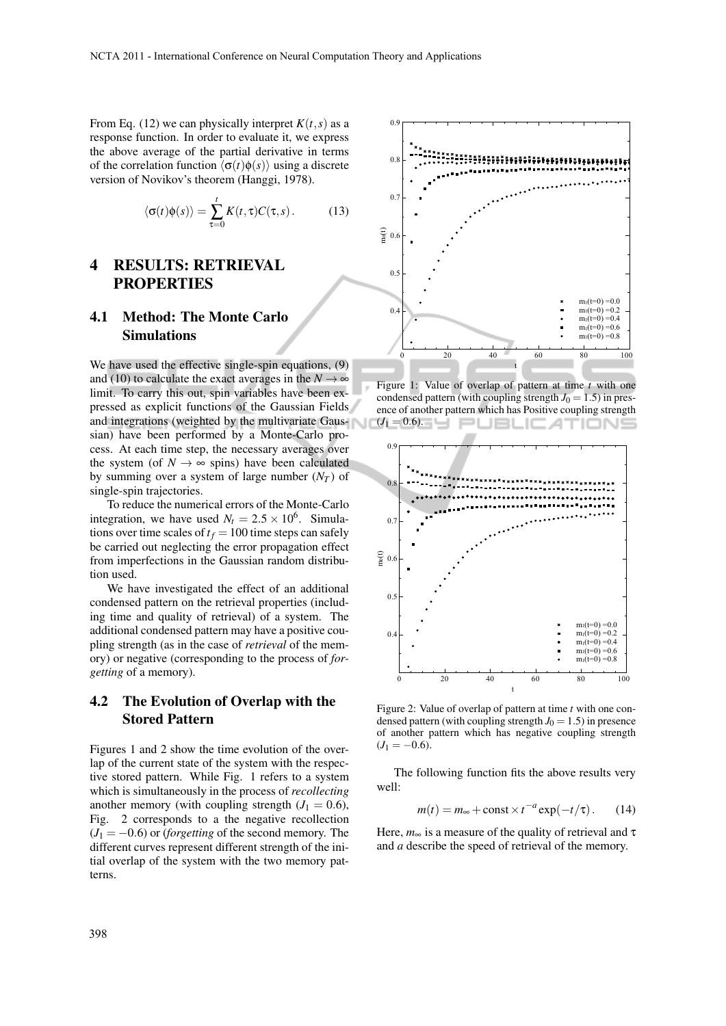From Eq. (12) we can physically interpret  $K(t, s)$  as a response function. In order to evaluate it, we express the above average of the partial derivative in terms of the correlation function  $\langle \sigma(t)\phi(s)\rangle$  using a discrete version of Novikov's theorem (Hanggi, 1978).

$$
\langle \sigma(t)\phi(s)\rangle = \sum_{\tau=0}^{t} K(t,\tau)C(\tau,s). \tag{13}
$$

## 4 RESULTS: RETRIEVAL PROPERTIES

# 4.1 Method: The Monte Carlo Simulations

We have used the effective single-spin equations, (9) and (10) to calculate the exact averages in the  $N \rightarrow \infty$ limit. To carry this out, spin variables have been expressed as explicit functions of the Gaussian Fields and integrations (weighted by the multivariate Gaussian) have been performed by a Monte-Carlo process. At each time step, the necessary averages over the system (of  $N \rightarrow \infty$  spins) have been calculated by summing over a system of large number  $(N_T)$  of single-spin trajectories.

To reduce the numerical errors of the Monte-Carlo integration, we have used  $N_t = 2.5 \times 10^6$ . Simulations over time scales of  $t_f = 100$  time steps can safely be carried out neglecting the error propagation effect from imperfections in the Gaussian random distribution used.

We have investigated the effect of an additional condensed pattern on the retrieval properties (including time and quality of retrieval) of a system. The additional condensed pattern may have a positive coupling strength (as in the case of *retrieval* of the memory) or negative (corresponding to the process of *forgetting* of a memory).

#### 4.2 The Evolution of Overlap with the Stored Pattern

Figures 1 and 2 show the time evolution of the overlap of the current state of the system with the respective stored pattern. While Fig. 1 refers to a system which is simultaneously in the process of *recollecting* another memory (with coupling strength  $(J_1 = 0.6)$ , Fig. 2 corresponds to a the negative recollection  $(J_1 = -0.6)$  or *(forgetting* of the second memory. The different curves represent different strength of the initial overlap of the system with the two memory pat-



Figure 1: Value of overlap of pattern at time *t* with one condensed pattern (with coupling strength  $J_0 = 1.5$ ) in presence of another pattern which has Positive coupling strength  $(J_1 = 0.6)$ .



Figure 2: Value of overlap of pattern at time *t* with one condensed pattern (with coupling strength  $J_0 = 1.5$ ) in presence of another pattern which has negative coupling strength  $(J_1 = -0.6)$ .

The following function fits the above results very well:

$$
m(t) = m_{\infty} + \text{const} \times t^{-a} \exp(-t/\tau). \qquad (14)
$$

Here,  $m_{\infty}$  is a measure of the quality of retrieval and  $\tau$ and *a* describe the speed of retrieval of the memory.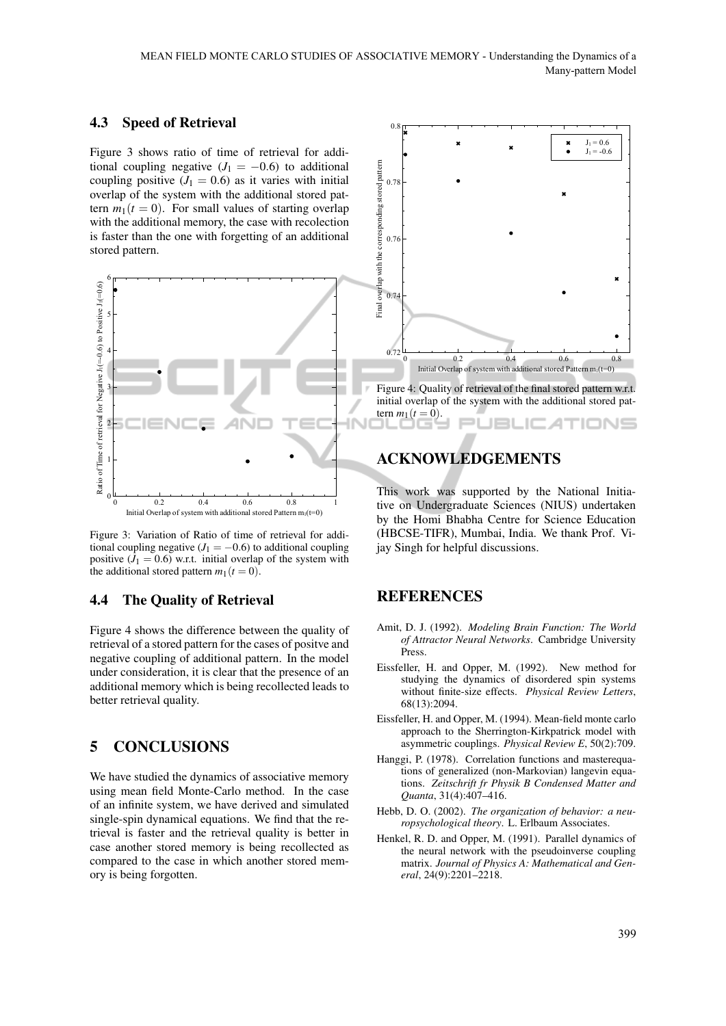#### 4.3 Speed of Retrieval

Figure 3 shows ratio of time of retrieval for additional coupling negative  $(J_1 = -0.6)$  to additional coupling positive  $(J_1 = 0.6)$  as it varies with initial overlap of the system with the additional stored pattern  $m_1(t = 0)$ . For small values of starting overlap with the additional memory, the case with recolection is faster than the one with forgetting of an additional stored pattern.



Figure 3: Variation of Ratio of time of retrieval for additional coupling negative  $(J_1 = -0.6)$  to additional coupling positive  $(J_1 = 0.6)$  w.r.t. initial overlap of the system with the additional stored pattern  $m_1(t=0)$ .

#### 4.4 The Quality of Retrieval

Figure 4 shows the difference between the quality of retrieval of a stored pattern for the cases of positve and negative coupling of additional pattern. In the model under consideration, it is clear that the presence of an additional memory which is being recollected leads to better retrieval quality.

# 5 CONCLUSIONS

We have studied the dynamics of associative memory using mean field Monte-Carlo method. In the case of an infinite system, we have derived and simulated single-spin dynamical equations. We find that the retrieval is faster and the retrieval quality is better in case another stored memory is being recollected as compared to the case in which another stored memory is being forgotten.



### ACKNOWLEDGEMENTS

This work was supported by the National Initiative on Undergraduate Sciences (NIUS) undertaken by the Homi Bhabha Centre for Science Education (HBCSE-TIFR), Mumbai, India. We thank Prof. Vijay Singh for helpful discussions.

#### REFERENCES

- Amit, D. J. (1992). *Modeling Brain Function: The World of Attractor Neural Networks*. Cambridge University Press.
- Eissfeller, H. and Opper, M. (1992). New method for studying the dynamics of disordered spin systems without finite-size effects. *Physical Review Letters*, 68(13):2094.
- Eissfeller, H. and Opper, M. (1994). Mean-field monte carlo approach to the Sherrington-Kirkpatrick model with asymmetric couplings. *Physical Review E*, 50(2):709.
- Hanggi, P. (1978). Correlation functions and masterequations of generalized (non-Markovian) langevin equations. *Zeitschrift fr Physik B Condensed Matter and Quanta*, 31(4):407–416.
- Hebb, D. O. (2002). *The organization of behavior: a neuropsychological theory*. L. Erlbaum Associates.
- Henkel, R. D. and Opper, M. (1991). Parallel dynamics of the neural network with the pseudoinverse coupling matrix. *Journal of Physics A: Mathematical and General*, 24(9):2201–2218.